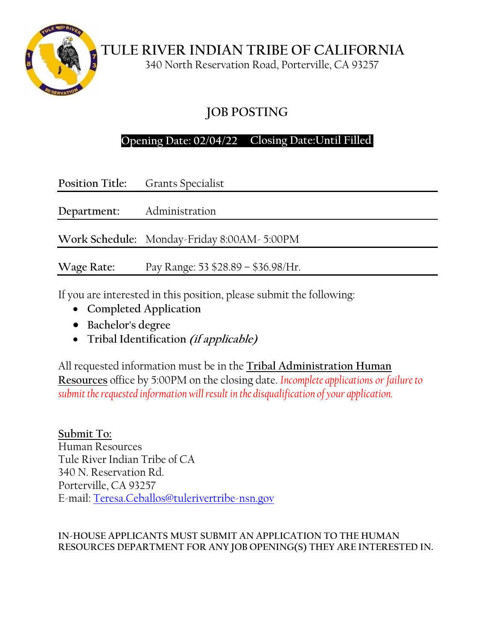

**TULE RIVER INDIAN TRIBE OF CALIFORNIA**

340 North Reservation Road, Porterville, CA 93257

# **JOB POSTING**

## **Opening Date: 02/04/22 Closing Date:Until Filled**

|                            | <b>Position Title:</b> Grants Specialist    |  |
|----------------------------|---------------------------------------------|--|
| Department: Administration |                                             |  |
|                            | Work Schedule: Monday-Friday 8:00AM- 5:00PM |  |
| Wage Rate:                 | Pay Range: 53 \$28.89 - \$36.98/Hr.         |  |

If you are interested in this position, please submit the following:

- **Completed Application**
- **Bachelor's degree**
- **Tribal Identification (if applicable)**

All requested information must be in the **Tribal Administration Human Resources** office by 5:00PM on the closing date. *Incomplete applications or failure to submit the requested information will result in the disqualification of your application.*

**Submit To:** Human Resources Tule River Indian Tribe of CA 340 N. Reservation Rd. Porterville, CA 93257 E-mail: [Teresa.Ceballos@tulerivertribe-nsn.gov](mailto:Teresa.Ceballos@tulerivertribe-nsn.gov)

### **IN-HOUSE APPLICANTS MUST SUBMIT AN APPLICATION TO THE HUMAN RESOURCES DEPARTMENT FOR ANY JOB OPENING(S) THEY ARE INTERESTED IN.**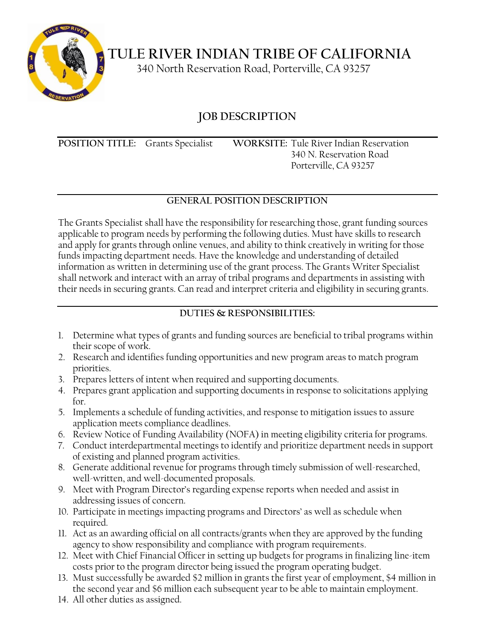

**TULE RIVER INDIAN TRIBE OF CALIFORNIA**

340 North Reservation Road, Porterville, CA 93257

## **JOB DESCRIPTION**

**POSITION TITLE:** Grants Specialist **WORKSITE:** Tule River Indian Reservation

340 N. Reservation Road Porterville, CA 93257

## **GENERAL POSITION DESCRIPTION**

The Grants Specialist shall have the responsibility for researching those, grant funding sources applicable to program needs by performing the following duties. Must have skills to research and apply for grants through online venues, and ability to think creatively in writing for those funds impacting department needs. Have the knowledge and understanding of detailed information as written in determining use of the grant process. The Grants Writer Specialist shall network and interact with an array of tribal programs and departments in assisting with their needs in securing grants. Can read and interpret criteria and eligibility in securing grants.

### **DUTIES & RESPONSIBILITIES:**

- 1. Determine what types of grants and funding sources are beneficial to tribal programs within their scope of work.
- 2. Research and identifies funding opportunities and new program areas to match program priorities.
- 3. Prepares letters of intent when required and supporting documents.
- 4. Prepares grant application and supporting documents in response to solicitations applying for.
- 5. Implements a schedule of funding activities, and response to mitigation issues to assure application meets compliance deadlines.
- 6. Review Notice of Funding Availability (NOFA) in meeting eligibility criteria for programs.
- 7. Conduct interdepartmental meetings to identify and prioritize department needs in support of existing and planned program activities.
- 8. Generate additional revenue for programs through timely submission of well-researched, well-written, and well-documented proposals.
- 9. Meet with Program Director's regarding expense reports when needed and assist in addressing issues of concern.
- 10. Participate in meetings impacting programs and Directors' as well as schedule when required.
- 11. Act as an awarding official on all contracts/grants when they are approved by the funding agency to show responsibility and compliance with program requirements.
- 12. Meet with Chief Financial Officer in setting up budgets for programs in finalizing line-item costs prior to the program director being issued the program operating budget.
- 13. Must successfully be awarded \$2 million in grants the first year of employment, \$4 million in the second year and \$6 million each subsequent year to be able to maintain employment.
- 14. All other duties as assigned.